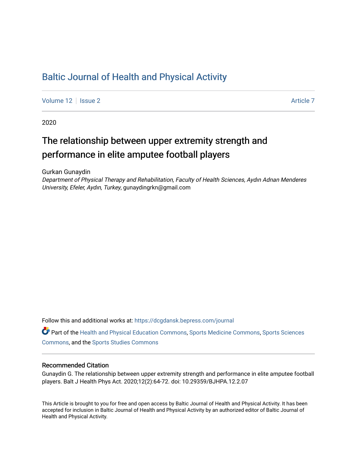# [Baltic Journal of Health and Physical Activity](https://dcgdansk.bepress.com/journal)

[Volume 12](https://dcgdansk.bepress.com/journal/vol12) | [Issue 2](https://dcgdansk.bepress.com/journal/vol12/iss2) Article 7

2020

# The relationship between upper extremity strength and performance in elite amputee football players

Gurkan Gunaydin

Department of Physical Therapy and Rehabilitation, Faculty of Health Sciences, Aydın Adnan Menderes University, Efeler, Aydın, Turkey, gunaydingrkn@gmail.com

Follow this and additional works at: [https://dcgdansk.bepress.com/journal](https://dcgdansk.bepress.com/journal?utm_source=dcgdansk.bepress.com%2Fjournal%2Fvol12%2Fiss2%2F7&utm_medium=PDF&utm_campaign=PDFCoverPages)

Part of the [Health and Physical Education Commons](http://network.bepress.com/hgg/discipline/1327?utm_source=dcgdansk.bepress.com%2Fjournal%2Fvol12%2Fiss2%2F7&utm_medium=PDF&utm_campaign=PDFCoverPages), [Sports Medicine Commons,](http://network.bepress.com/hgg/discipline/1331?utm_source=dcgdansk.bepress.com%2Fjournal%2Fvol12%2Fiss2%2F7&utm_medium=PDF&utm_campaign=PDFCoverPages) [Sports Sciences](http://network.bepress.com/hgg/discipline/759?utm_source=dcgdansk.bepress.com%2Fjournal%2Fvol12%2Fiss2%2F7&utm_medium=PDF&utm_campaign=PDFCoverPages) [Commons](http://network.bepress.com/hgg/discipline/759?utm_source=dcgdansk.bepress.com%2Fjournal%2Fvol12%2Fiss2%2F7&utm_medium=PDF&utm_campaign=PDFCoverPages), and the [Sports Studies Commons](http://network.bepress.com/hgg/discipline/1198?utm_source=dcgdansk.bepress.com%2Fjournal%2Fvol12%2Fiss2%2F7&utm_medium=PDF&utm_campaign=PDFCoverPages) 

## Recommended Citation

Gunaydin G. The relationship between upper extremity strength and performance in elite amputee football players. Balt J Health Phys Act. 2020;12(2):64-72. doi: 10.29359/BJHPA.12.2.07

This Article is brought to you for free and open access by Baltic Journal of Health and Physical Activity. It has been accepted for inclusion in Baltic Journal of Health and Physical Activity by an authorized editor of Baltic Journal of Health and Physical Activity.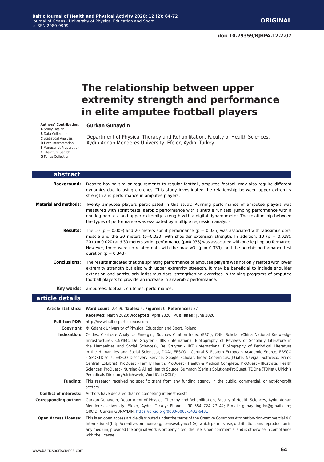# **The relationship between upper extremity strength and performance in elite amputee football players**

**Authors' Contribution:**

**A** Study Design **B** Data Collection **C** Statistical Analysis

**D** Data Interpretation **E** Manuscript Preparation **F** Literature Search **G** Funds Collection

**Gurkan Gunaydin**

Department of Physical Therapy and Rehabilitation, Faculty of Health Sciences, Aydın Adnan Menderes University, Efeler, Aydın, Turkey

| abstract                     |                                                                                                                                                                                                                                                                                                                                                                                                                                                                                                |
|------------------------------|------------------------------------------------------------------------------------------------------------------------------------------------------------------------------------------------------------------------------------------------------------------------------------------------------------------------------------------------------------------------------------------------------------------------------------------------------------------------------------------------|
| <b>Background:</b>           | Despite having similar requirements to regular football, amputee football may also require different<br>dynamics due to using crutches. This study investigated the relationship between upper extremity<br>strength and performance in amputee players.                                                                                                                                                                                                                                       |
| <b>Material and methods:</b> | Twenty amputee players participated in this study. Running performance of amputee players was<br>measured with sprint tests; aerobic performance with a shuttle run test; jumping performance with a<br>one-leg hop test and upper extremity strength with a digital dynamometer. The relationship between<br>the types of performance was evaluated by multiple regression analysis.                                                                                                          |
| <b>Results:</b>              | The 10 ( $p = 0.009$ ) and 20 meters sprint performance ( $p = 0.035$ ) was associated with latissimus dorsi<br>muscle and the 30 meters ( $p=0.030$ ) with shoulder extension strength. In addition, 10 ( $p = 0.018$ ),<br>20 ( $p = 0.020$ ) and 30 meters sprint performance ( $p=0.036$ ) was associated with one-leg hop performance.<br>However, there were no related data with the max VO <sub>2</sub> ( $p = 0.339$ ), and the aerobic performance test<br>duration ( $p = 0.348$ ). |
| <b>Conclusions:</b>          | The results indicated that the sprinting performance of amputee players was not only related with lower<br>extremity strength but also with upper extremity strength. It may be beneficial to include shoulder<br>extension and particularly latissimus dorsi strengthening exercises in training programs of amputee<br>football players to provide an increase in anaerobic performance.                                                                                                     |
| Key words:                   | amputees, football, crutches, performance.                                                                                                                                                                                                                                                                                                                                                                                                                                                     |
| article details              |                                                                                                                                                                                                                                                                                                                                                                                                                                                                                                |
|                              | Article statistics: Word count: 2,459; Tables: 4; Figures: 0; References: 37<br>Received: March 2020; Accepted: April 2020; Published: June 2020                                                                                                                                                                                                                                                                                                                                               |
|                              | Full-text PDF: http://www.balticsportscience.com                                                                                                                                                                                                                                                                                                                                                                                                                                               |
| Copyright                    | © Gdansk University of Physical Education and Sport, Poland                                                                                                                                                                                                                                                                                                                                                                                                                                    |
|                              | Indexation: Celdes, Clarivate Analytics Emerging Sources Citation Index (ESCI), CNKI Scholar (China National Knowledge                                                                                                                                                                                                                                                                                                                                                                         |

**Indexation:** Celdes, Clarivate Analytics Emerging Sources Citation Index (ESCI), CNKI Scholar (China National Knowledge Infrastructure), CNPIEC, De Gruyter - IBR (International Bibliography of Reviews of Scholarly Literature in the Humanities and Social Sciences), De Gruyter - IBZ (International Bibliography of Periodical Literature in the Humanities and Social Sciences), DOAJ, EBSCO - Central & Eastern European Academic Source, EBSCO - SPORTDiscus, EBSCO Discovery Service, Google Scholar, Index Copernicus, J-Gate, Naviga (Softweco, Primo Central (ExLibris), ProQuest - Family Health, ProQuest - Health & Medical Complete, ProQuest - Illustrata: Health Sciences, ProQuest - Nursing & Allied Health Source, Summon (Serials Solutions/ProQuest, TDOne (TDNet), Ulrich's Periodicals Directory/ulrichsweb, WorldCat (OCLC)

**Funding:** This research received no specific grant from any funding agency in the public, commercial, or not-for-profit sectors.

**Conflict of interests:** Authors have declared that no competing interest exists.

**Corresponding author:** Gurkan Gunaydin, Department of Physical Therapy and Rehabilitation, Faculty of Health Sciences, Aydın Adnan Menderes University, Efeler, Aydın, Turkey; Phone: +90 554 724 27 42; E-mail: gunaydingrkn@gmail.com; ORCID: Gurkan GUNAYDIN:<https://orcid.org/0000-0003-3432-6431>

**Open Access License:** This is an open access article distributed under the terms of the Creative Commons Attribution-Non-commercial 4.0 International (http://creativecommons.org/licenses/by-nc/4.0/), which permits use, distribution, and reproduction in any medium, provided the original work is properly cited, the use is non-commercial and is otherwise in compliance with the license.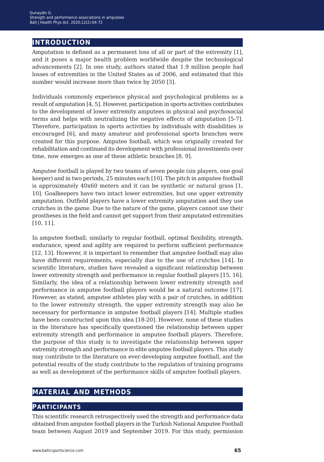# **introduction**

Amputation is defined as a permanent loss of all or part of the extremity [1], and it poses a major health problem worldwide despite the technological advancements [2]. In one study, authors stated that 1.9 million people had losses of extremities in the United States as of 2006, and estimated that this number would increase more than twice by 2050 [3].

Individuals commonly experience physical and psychological problems as a result of amputation [4, 5]. However, participation in sports activities contributes to the development of lower extremity amputees in physical and psychosocial terms and helps with neutralizing the negative effects of amputation [5-7]. Therefore, participation in sports activities by individuals with disabilities is encouraged [6], and many amateur and professional sports branches were created for this purpose. Amputee football, which was originally created for rehabilitation and continued its development with professional investments over time, now emerges as one of these athletic branches [8, 9].

Amputee football is played by two teams of seven people (six players, one goal keeper) and in two periods, 25 minutes each [10]. The pitch in amputee football is approximately 40x60 meters and it can be synthetic or natural grass [1, 10]. Goalkeepers have two intact lower extremities, but one upper extremity amputation. Outfield players have a lower extremity amputation and they use crutches in the game. Due to the nature of the game, players cannot use their prostheses in the field and cannot get support from their amputated extremities [10, 11].

In amputee football, similarly to regular football, optimal flexibility, strength, endurance, speed and agility are required to perform sufficient performance [12, 13]. However, it is important to remember that amputee football may also have different requirements, especially due to the use of crutches [14]. In scientific literature, studies have revealed a significant relationship between lower extremity strength and performance in regular football players [15, 16]. Similarly, the idea of a relationship between lower extremity strength and performance in amputee football players would be a natural outcome [17]. However, as stated, amputee athletes play with a pair of crutches, in addition to the lower extremity strength, the upper extremity strength may also be necessary for performance in amputee football players [14]. Multiple studies have been constructed upon this idea [18-20]. However, none of these studies in the literature has specifically questioned the relationship between upper extremity strength and performance in amputee football players. Therefore, the purpose of this study is to investigate the relationship between upper extremity strength and performance in elite amputee football players. This study may contribute to the literature on ever-developing amputee football, and the potential results of the study contribute to the regulation of training programs as well as development of the performance skills of amputee football players.

# **material and methods**

# **participants**

This scientific research retrospectively used the strength and performance data obtained from amputee football players in the Turkish National Amputee Football team between August 2019 and September 2019. For this study, permission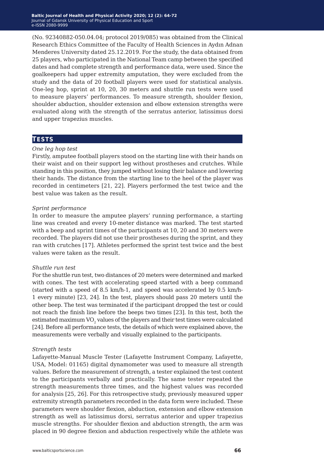(No. 92340882-050.04.04; protocol 2019/085) was obtained from the Clinical Research Ethics Committee of the Faculty of Health Sciences in Aydın Adnan Menderes University dated 25.12.2019. For the study, the data obtained from 25 players, who participated in the National Team camp between the specified dates and had complete strength and performance data, were used. Since the goalkeepers had upper extremity amputation, they were excluded from the study and the data of 20 football players were used for statistical analysis. One-leg hop, sprint at 10, 20, 30 meters and shuttle run tests were used to measure players' performances. To measure strength, shoulder flexion, shoulder abduction, shoulder extension and elbow extension strengths were evaluated along with the strength of the serratus anterior, latissimus dorsi and upper trapezius muscles.

## **tests**

## *One leg hop test*

Firstly, amputee football players stood on the starting line with their hands on their waist and on their support leg without prostheses and crutches. While standing in this position, they jumped without losing their balance and lowering their hands. The distance from the starting line to the heel of the player was recorded in centimeters [21, 22]. Players performed the test twice and the best value was taken as the result.

### *Sprint performance*

In order to measure the amputee players' running performance, a starting line was created and every 10-meter distance was marked. The test started with a beep and sprint times of the participants at 10, 20 and 30 meters were recorded. The players did not use their prostheses during the sprint, and they ran with crutches [17]. Athletes performed the sprint test twice and the best values were taken as the result.

### *Shuttle run test*

For the shuttle run test, two distances of 20 meters were determined and marked with cones. The test with accelerating speed started with a beep command (started with a speed of 8.5 km/h-1, and speed was accelerated by 0.5 km/h-1 every minute) [23, 24]. In the test, players should pass 20 meters until the other beep. The test was terminated if the participant dropped the test or could not reach the finish line before the beeps two times [23]. In this test, both the estimated maximum VO<sub>2</sub> values of the players and their test times were calculated [24]. Before all performance tests, the details of which were explained above, the measurements were verbally and visually explained to the participants.

### *Strength tests*

Lafayette-Manual Muscle Tester (Lafayette Instrument Company, Lafayette, USA, Model: 01165) digital dynamometer was used to measure all strength values. Before the measurement of strength, a tester explained the test content to the participants verbally and practically. The same tester repeated the strength measurements three times, and the highest values was recorded for analysis [25, 26]. For this retrospective study, previously measured upper extremity strength parameters recorded in the data form were included. These parameters were shoulder flexion, abduction, extension and elbow extension strength as well as latissimus dorsi, serratus anterior and upper trapezius muscle strengths. For shoulder flexion and abduction strength, the arm was placed in 90 degree flexion and abduction respectively while the athlete was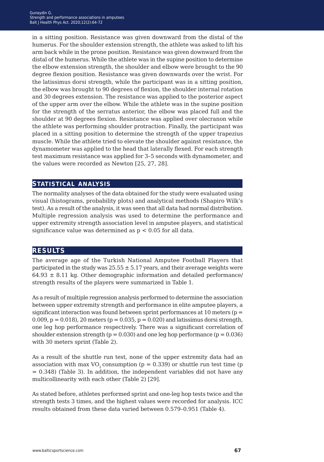in a sitting position. Resistance was given downward from the distal of the humerus. For the shoulder extension strength, the athlete was asked to lift his arm back while in the prone position. Resistance was given downward from the distal of the humerus. While the athlete was in the supine position to determine the elbow extension strength, the shoulder and elbow were brought to the 90 degree flexion position. Resistance was given downwards over the wrist. For the latissimus dorsi strength, while the participant was in a sitting position, the elbow was brought to 90 degrees of flexion, the shoulder internal rotation and 30 degrees extension. The resistance was applied to the posterior aspect of the upper arm over the elbow. While the athlete was in the supine position for the strength of the serratus anterior, the elbow was placed full and the shoulder at 90 degrees flexion. Resistance was applied over olecranon while the athlete was performing shoulder protraction. Finally, the participant was placed in a sitting position to determine the strength of the upper trapezius muscle. While the athlete tried to elevate the shoulder against resistance, the dynamometer was applied to the head that laterally flexed. For each strength test maximum resistance was applied for 3–5 seconds with dynamometer, and the values were recorded as Newton [25, 27, 28].

# **statistical analysis**

The normality analyses of the data obtained for the study were evaluated using visual (histograms, probability plots) and analytical methods (Shapiro Wilk's test). As a result of the analysis, it was seen that all data had normal distribution. Multiple regression analysis was used to determine the performance and upper extremity strength association level in amputee players, and statistical significance value was determined as  $p < 0.05$  for all data.

# **results**

The average age of the Turkish National Amputee Football Players that participated in the study was  $25.55 \pm 5.17$  years, and their average weights were  $64.93 \pm 8.11$  kg. Other demographic information and detailed performance/ strength results of the players were summarized in Table 1.

As a result of multiple regression analysis performed to determine the association between upper extremity strength and performance in elite amputee players, a significant interaction was found between sprint performances at 10 meters ( $p =$ 0.009,  $p = 0.018$ , 20 meters ( $p = 0.035$ ,  $p = 0.020$ ) and latissimus dorsi strength, one leg hop performance respectively. There was a significant correlation of shoulder extension strength ( $p = 0.030$ ) and one leg hop performance ( $p = 0.036$ ) with 30 meters sprint (Table 2).

As a result of the shuttle run test, none of the upper extremity data had an association with max VO<sub>2</sub> consumption ( $p = 0.339$ ) or shuttle run test time ( $p$ = 0.348) (Table 3). In addition, the independent variables did not have any multicollinearity with each other (Table 2) [29].

As stated before, athletes performed sprint and one-leg hop tests twice and the strength tests 3 times, and the highest values were recorded for analysis. ICC results obtained from these data varied between 0.579–0.951 (Table 4).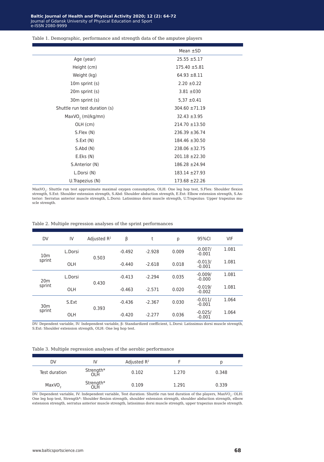#### Table 1. Demographic, performance and strength data of the amputee players

|                               | Mean $\pm$ SD      |
|-------------------------------|--------------------|
| Age (year)                    | $25.55 \pm 5.17$   |
| Height (cm)                   | $175.40 \pm 5.81$  |
| Weight (kg)                   | $64.93 \pm 8.11$   |
| 10m sprint (s)                | $2.20 \pm 0.22$    |
| 20m sprint (s)                | $3.81 \pm 030$     |
| 30m sprint (s)                | $5,37 \pm 0.41$    |
| Shuttle run test duration (s) | $304.60 \pm 71.19$ |
| MaxVO <sub>2</sub> (ml/kg/mn) | $32.43 \pm 3.95$   |
| OLH (cm)                      | $214.70 \pm 13.50$ |
| S.Flex (N)                    | $236.39 \pm 36.74$ |
| S.Ext(N)                      | $184.46 \pm 30.50$ |
| S.Abd (N)                     | 238.06 ±32.75      |
| E.Eks(N)                      | $201.18 \pm 22.30$ |
| S.Anterior (N)                | $186.28 \pm 24.94$ |
| L.Dorsi (N)                   | $183.14 \pm 27.93$ |
| U.Trapezius (N)               | $173.68 \pm 22.26$ |

MaxVO<sub>2</sub>: Shuttle run test approximate maximal oxygen consumption, OLH: One leg hop test, S.Flex: Shoulder flexion strength, S.Ext: Shoulder extension strength, S.Abd: Shoulder abduction strength, E.Ext: Elbow extension strength, S.Anterior: Serratus anterior muscle strength, L.Dorsi: Latissimus dorsi muscle strength, U.Trapezius: Upper trapezius muscle strength.

|  |  |  |  |  |  |  |  | Table 2. Multiple regression analyses of the sprint performances |
|--|--|--|--|--|--|--|--|------------------------------------------------------------------|
|--|--|--|--|--|--|--|--|------------------------------------------------------------------|

| <b>DV</b>                 | IV      | Adjusted $R^2$ | β        | t        | р     | 95%CI                 | <b>VIF</b> |
|---------------------------|---------|----------------|----------|----------|-------|-----------------------|------------|
| 10 <sub>m</sub><br>sprint | L.Dorsi | 0.503          | $-0.492$ | $-2.928$ | 0.009 | $-0.007/$<br>$-0.001$ | 1.081      |
|                           | OLH     |                | $-0.440$ | $-2.618$ | 0.018 | $-0.013/$<br>$-0.001$ | 1.081      |
| 20 <sub>m</sub><br>sprint | L.Dorsi | 0.430          | $-0.413$ | $-2.294$ | 0.035 | $-0.009/$<br>$-0.000$ | 1.081      |
|                           | OLH     |                | $-0.463$ | $-2.571$ | 0.020 | $-0.019/$<br>$-0.002$ | 1.081      |
| 30 <sub>m</sub><br>sprint | S.Ext   |                | $-0.436$ | $-2.367$ | 0.030 | $-0.011/$<br>$-0.001$ | 1.064      |
|                           | OLH     | 0.393          | $-0.420$ | $-2.277$ | 0.036 | $-0.025/$<br>$-0.001$ | 1.064      |

DV: Dependent variable, IV: Independent variable, β: Standardized coefficient, L.Dorsi: Latissimus dorsi muscle strength, S.Ext: Shoulder extension strength, OLH: One leg hop test.

#### Table 3. Multiple regression analyses of the aerobic performance

| DV                 | IV               | Adjusted $R^2$ |       |       |
|--------------------|------------------|----------------|-------|-------|
| Test duration      | Strength*<br>OLH | 0.102          | 1.270 | 0.348 |
| MaxVO <sub>2</sub> | Strength*<br>OLH | 0.109          | 1.291 | 0.339 |

DV: Dependent variable, IV: Independent variable, Test duration: Shuttle run test duration of the players, MaxVO<sub>2</sub>: OLH: One leg hop test, Strength\*: Shoulder flexion strength, shoulder extension strength, shoulder abduction strength, elbow extension strength, serratus anterior muscle strength, latissimus dorsi muscle strength, upper trapezius muscle strength.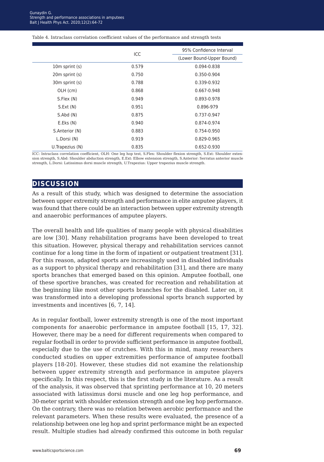#### Table 4. Intraclass correlation coefficient values of the performance and strength tests

|                  | ICC   | 95% Confidence Interval   |
|------------------|-------|---------------------------|
|                  |       | (Lower Bound-Upper Bound) |
| 10m sprint (s)   | 0.579 | 0.094-0.838               |
| 20m sprint (s)   | 0.750 | 0.350-0.904               |
| 30m sprint (s)   | 0.788 | 0.339-0.932               |
| OLH (cm)         | 0.868 | 0.667-0.948               |
| S.Flex (N)       | 0.949 | 0.893-0.978               |
| S.Ext (N)        | 0.951 | 0.896-979                 |
| S. Abd(N)        | 0.875 | 0.737-0.947               |
| E.Eks(N)         | 0.940 | 0.874-0.974               |
| S.Anterior (N)   | 0.883 | 0.754-0.950               |
| L.Dorsi (N)      | 0.919 | 0.829-0.965               |
| U. Trapezius (N) | 0.835 | $0.652 - 0.930$           |

ICC: Intraclass correlation coefficient, OLH: One leg hop test, S.Flex: Shoulder flexion strength, S.Ext: Shoulder extension strength, S.Abd: Shoulder abduction strength, E.Ext: Elbow extension strength, S.Anterior: Serratus anterior muscle strength, L.Dorsi: Latissimus dorsi muscle strength, U.Trapezius: Upper trapezius muscle strength.

## **discussion**

As a result of this study, which was designed to determine the association between upper extremity strength and performance in elite amputee players, it was found that there could be an interaction between upper extremity strength and anaerobic performances of amputee players.

The overall health and life qualities of many people with physical disabilities are low [30]. Many rehabilitation programs have been developed to treat this situation. However, physical therapy and rehabilitation services cannot continue for a long time in the form of inpatient or outpatient treatment [31]. For this reason, adapted sports are increasingly used in disabled individuals as a support to physical therapy and rehabilitation [31], and there are many sports branches that emerged based on this opinion. Amputee football, one of these sportive branches, was created for recreation and rehabilitation at the beginning like most other sports branches for the disabled. Later on, it was transformed into a developing professional sports branch supported by investments and incentives [6, 7, 14].

As in regular football, lower extremity strength is one of the most important components for anaerobic performance in amputee football [15, 17, 32]. However, there may be a need for different requirements when compared to regular football in order to provide sufficient performance in amputee football, especially due to the use of crutches. With this in mind, many researchers conducted studies on upper extremities performance of amputee football players [18-20]. However, these studies did not examine the relationship between upper extremity strength and performance in amputee players specifically. In this respect, this is the first study in the literature. As a result of the analysis, it was observed that sprinting performance at 10, 20 meters associated with latissimus dorsi muscle and one leg hop performance, and 30-meter sprint with shoulder extension strength and one leg hop performance. On the contrary, there was no relation between aerobic performance and the relevant parameters. When these results were evaluated, the presence of a relationship between one leg hop and sprint performance might be an expected result. Multiple studies had already confirmed this outcome in both regular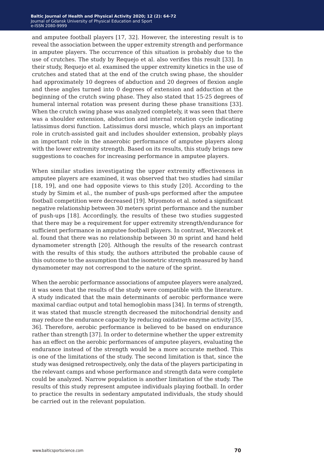and amputee football players [17, 32]. However, the interesting result is to reveal the association between the upper extremity strength and performance in amputee players. The occurrence of this situation is probably due to the use of crutches. The study by Requejo et al. also verifies this result [33]. In their study, Requejo et al. examined the upper extremity kinetics in the use of crutches and stated that at the end of the crutch swing phase, the shoulder had approximately 10 degrees of abduction and 20 degrees of flexion angle and these angles turned into 0 degrees of extension and adduction at the beginning of the crutch swing phase. They also stated that 15-25 degrees of humeral internal rotation was present during these phase transitions [33]. When the crutch swing phase was analyzed completely, it was seen that there was a shoulder extension, abduction and internal rotation cycle indicating latissimus dorsi function. Latissimus dorsi muscle, which plays an important role in crutch-assisted gait and includes shoulder extension, probably plays an important role in the anaerobic performance of amputee players along with the lower extremity strength. Based on its results, this study brings new suggestions to coaches for increasing performance in amputee players.

When similar studies investigating the upper extremity effectiveness in amputee players are examined, it was observed that two studies had similar [18, 19], and one had opposite views to this study [20]. According to the study by Simim et al., the number of push-ups performed after the amputee football competition were decreased [19]. Miyomoto et al. noted a significant negative relationship between 30 meters sprint performance and the number of push-ups [18]. Accordingly, the results of these two studies suggested that there may be a requirement for upper extremity strength/endurance for sufficient performance in amputee football players. In contrast, Wieczorek et al. found that there was no relationship between 30 m sprint and hand held dynamometer strength [20]. Although the results of the research contrast with the results of this study, the authors attributed the probable cause of this outcome to the assumption that the isometric strength measured by hand dynamometer may not correspond to the nature of the sprint.

When the aerobic performance associations of amputee players were analyzed, it was seen that the results of the study were compatible with the literature. A study indicated that the main determinants of aerobic performance were maximal cardiac output and total hemoglobin mass [34]. In terms of strength, it was stated that muscle strength decreased the mitochondrial density and may reduce the endurance capacity by reducing oxidative enzyme activity [35, 36]. Therefore, aerobic performance is believed to be based on endurance rather than strength [37]. In order to determine whether the upper extremity has an effect on the aerobic performances of amputee players, evaluating the endurance instead of the strength would be a more accurate method. This is one of the limitations of the study. The second limitation is that, since the study was designed retrospectively, only the data of the players participating in the relevant camps and whose performance and strength data were complete could be analyzed. Narrow population is another limitation of the study. The results of this study represent amputee individuals playing football. In order to practice the results in sedentary amputated individuals, the study should be carried out in the relevant population.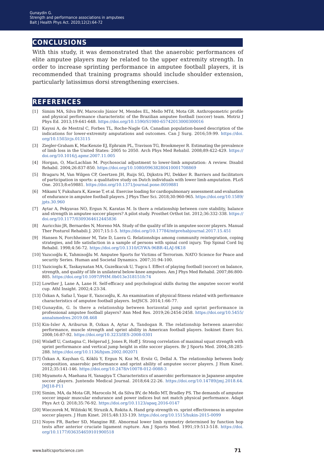# **conclusions**

With this study, it was demonstrated that the anaerobic performances of elite amputee players may be related to the upper extremity strength. In order to increase sprinting performance in amputee football players, it is recommended that training programs should include shoulder extension, particularly latissimus dorsi strengthening exercises.

# **references**

- [1] Simim MA, Silva BV, Marocolo Júnior M, Mendes EL, Mello MTd, Mota GR. Anthropometric profile and physical performance characteristic of the Brazilian amputee football (soccer) team. Motriz J Phys Ed. 2013;19:641-648. <https://doi.org/10.1590/S1980-65742013000300016>
- [2] Kayssi A, de Mestral C, Forbes TL, Roche-Nagle GA. Canadian population-based description of the indications for lower-extremity amputations and outcomes. Can J Surg. 2016;59:99. [https://doi.](https://doi.org/10.1503/cjs.013115) [org/10.1503/cjs.013115](https://doi.org/10.1503/cjs.013115)
- [3] Ziegler-Graham K, MacKenzie EJ, Ephraim PL, Travison TG, Brookmeyer R. Estimating the prevalence of limb loss in the United States: 2005 to 2050. Arch Phys Med Rehabil. 2008;89:422-429. [https://](https://doi.org/10.1016/j.apmr.2007.11.005) [doi.org/10.1016/j.apmr.2007.11.005](https://doi.org/10.1016/j.apmr.2007.11.005)
- [4] Horgan, O, MacLachlan M. Psychosocial adjustment to lower-limb amputation: A review. Disabil Rehabil. 2004;26:837-850.<https://doi.org/10.1080/09638280410001708869>
- [5] Bragaru M, Van Wilgen CP, Geertzen JH, Ruijs SG, Dijkstra PU, Dekker R. Barriers and facilitators of participation in sports: a qualitative study on Dutch individuals with lower limb amputation. PLoS One. 2013;8:e59881.<https://doi.org/10.1371/journal.pone.0059881>
- [6] Mikami Y, Fukuhara K, Kawae T, et al. Exercise loading for cardiopulmonary assessment and evaluation of endurance in amputee football players. J Phys Ther Sci. 2018;30:960-965. [https://doi.org/10.1589/](https://doi.org/10.1589/jpts.30.960) [jpts.30.960](https://doi.org/10.1589/jpts.30.960)
- [7] Aytar A, Pekyavas NO, Ergun N, Karatas M. Is there a relationship between core stability, balance and strength in amputee soccer players? A pilot study. Prosthet Orthot Int. 2012;36:332-338. [https://](https://doi.org/10.1177/0309364612445836) [doi.org/10.1177/0309364612445836](https://doi.org/10.1177/0309364612445836)
- [8] Auricchio JR, Bernardes N, Moreno MA. Study of the quality of life in amputee soccer players. Manual Ther Posturol Rehabili J. 2017;15:1-5. <https://doi.org/10.17784/mtprehabjournal.2017.15.451>
- [9] Hansen N, Forchheimer M, Tate D, Luera G. Relationships among community reintegration, coping strategies, and life satisfaction in a sample of persons with spinal cord injury. Top Spinal Cord Inj Rehabil. 1998;4:56-72. <https://doi.org/10.1310/GYWA-96BR-4LAJ-9K18>
- [10] Yazıcıoğlu K, Tahmisoğlu M. Amputee Sports for Victims of Terrorism. NATO Science for Peace and security Series. Human and Societal Dynamics. 2007;31:94-100.
- [11] Yazicioglu K, Taskaynatan MA, Guzelkucuk U, Tugcu I. Effect of playing football (soccer) on balance, strength, and quality of life in unilateral below-knee amputees. Am J Phys Med Rehabil. 2007;86:800- 805. <https://doi.org/10.1097/PHM.0b013e318151fc74>
- [12] Lowther J, Lane A, Lane H. Self-efficacy and psychological skills during the amputee soccer world cup. Athl Insight. 2002;4:23-34.
- [13] Özkan A, Safaz İ, Yaşar E, Yazıcıoğlu, K. An examination of physical fitness related with performance characteristics of amputee football players. IntJSCS. 2014;1:66-77.
- [14] Gunaydin, G. Is there a relationship between horizontal jump and sprint performance in professional amputee football players? Ann Med Res. 2019;26:2454-2458[. https://doi.org/10.5455/](https://doi.org/10.5455/annalsmedres.2019.08.468) [annalsmedres.2019.08.468](https://doi.org/10.5455/annalsmedres.2019.08.468)
- [15] Kin-Isler A, Ariburun B, Ozkan A, Aytar A, Tandogan R. The relationship between anaerobic performance, muscle strength and sprint ability in American football players. Isokinet Exerc Sci. 2008;16:87-92. <https://doi.org/10.3233/IES-2008-0301>
- [16] Wisløff U, Castagna C, Helgerud J, Jones R, Hoff J. Strong correlation of maximal squat strength with sprint performance and vertical jump height in elite soccer players. Br J Sports Med. 2004;38:285- 288. <https://doi.org/10.1136/bjsm.2002.002071>
- [17] Özkan A, Kayıhan G, Köklü Y, Ergun N, Koz M, Ersöz G, Dellal A. The relationship between body composition, anaerobic performance and sprint ability of amputee soccer players. J Hum Kinet. 2012;35:141-146. <https://doi.org/10.2478/v10078-012-0088-3>
- [18] Miyamoto A, Maehana H, Yanagiya T. Characteristics of anaerobic performance in Japanese amputee soccer players. Juntendo Medical Journal. 2018;64:22-26. [https://doi.org/10.14789/jmj.2018.64.](https://doi.org/10.14789/jmj.2018.64.JMJ18-P11) [JMJ18-P11](https://doi.org/10.14789/jmj.2018.64.JMJ18-P11)
- [19] Simim, MA, da Mota GR, Marocolo M, da Silva BV, de Mello MT, Bradley PS. The demands of amputee soccer impair muscular endurance and power indices but not match physical performance. Adapt Phys Act Q. 2018;35:76-92. <https://doi.org/10.1123/apaq.2016-0147>
- [20] Wieczorek M, Wiliński W, Struzik A, Rokita A. Hand grip strength vs. sprint effectiveness in amputee soccer players. J Hum Kinet. 2015;48:133-139.<https://doi.org/10.1515/hukin-2015-0099>
- [21] Noyes FR, Barber SD, Mangine RE. Abnormal lower limb symmetry determined by function hop tests after anterior cruciate ligament rupture. Am J Sports Med. 1991;19:513-518. [https://doi.](https://doi.org/10.1177/036354659101900518) [org/10.1177/036354659101900518](https://doi.org/10.1177/036354659101900518)